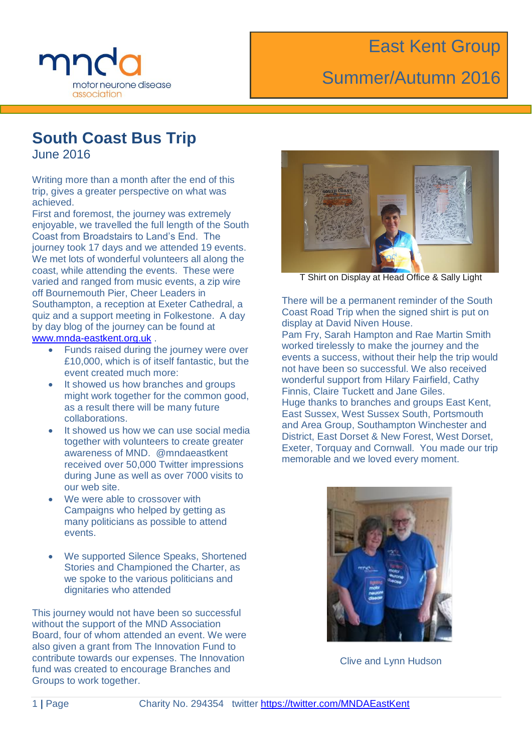

# Summer/Autumn 2016

### **South Coast Bus Trip**

June 2016

Writing more than a month after the end of this trip, gives a greater perspective on what was achieved.

First and foremost, the journey was extremely enjoyable, we travelled the full length of the South Coast from Broadstairs to Land's End. The journey took 17 days and we attended 19 events. We met lots of wonderful volunteers all along the coast, while attending the events. These were varied and ranged from music events, a zip wire off Bournemouth Pier, Cheer Leaders in Southampton, a reception at Exeter Cathedral, a quiz and a support meeting in Folkestone. A day by day blog of the journey can be found at [www.mnda-eastkent.org.uk](http://www.mnda-eastkent.org.uk/) .

- Funds raised during the journey were over £10,000, which is of itself fantastic, but the event created much more:
- It showed us how branches and groups might work together for the common good, as a result there will be many future collaborations.
- It showed us how we can use social media together with volunteers to create greater awareness of MND. @mndaeastkent received over 50,000 Twitter impressions during June as well as over 7000 visits to our web site.
- We were able to crossover with Campaigns who helped by getting as many politicians as possible to attend events.
- We supported Silence Speaks, Shortened Stories and Championed the Charter, as we spoke to the various politicians and dignitaries who attended

This journey would not have been so successful without the support of the MND Association Board, four of whom attended an event. We were also given a grant from The Innovation Fund to contribute towards our expenses. The Innovation fund was created to encourage Branches and Groups to work together.



T Shirt on Display at Head Office & Sally Light

There will be a permanent reminder of the South Coast Road Trip when the signed shirt is put on display at David Niven House.

Pam Fry, Sarah Hampton and Rae Martin Smith worked tirelessly to make the journey and the events a success, without their help the trip would not have been so successful. We also received wonderful support from Hilary Fairfield, Cathy Finnis, Claire Tuckett and Jane Giles. Huge thanks to branches and groups East Kent, East Sussex, West Sussex South, Portsmouth and Area Group, Southampton Winchester and District, East Dorset & New Forest, West Dorset, Exeter, Torquay and Cornwall. You made our trip memorable and we loved every moment.



Clive and Lynn Hudson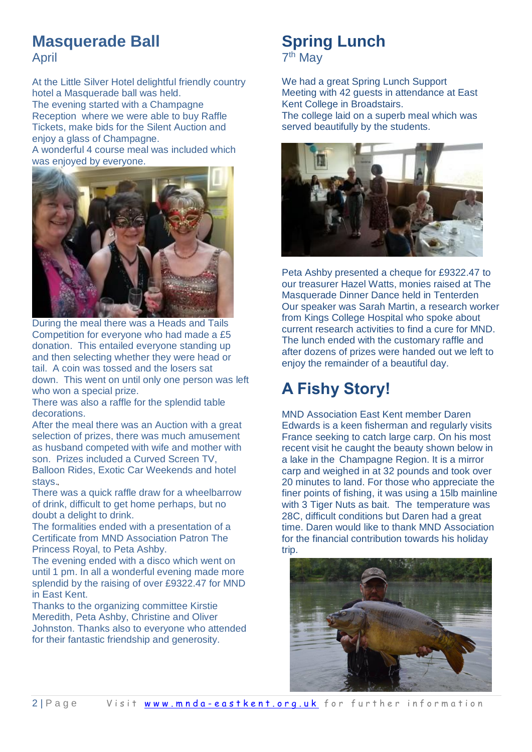# **Masquerade Ball**

April

At the Little Silver Hotel delightful friendly country hotel a Masquerade ball was held.

The evening started with a Champagne Reception where we were able to buy Raffle Tickets, make bids for the Silent Auction and enjoy a glass of Champagne.

A wonderful 4 course meal was included which was enjoyed by everyone.



During the meal there was a Heads and Tails Competition for everyone who had made a £5 donation. This entailed everyone standing up and then selecting whether they were head or tail. A coin was tossed and the losers sat down. This went on until only one person was left who won a special prize.

There was also a raffle for the splendid table decorations.

After the meal there was an Auction with a great selection of prizes, there was much amusement as husband competed with wife and mother with son. Prizes included a Curved Screen TV, Balloon Rides, Exotic Car Weekends and hotel stays.

There was a quick raffle draw for a wheelbarrow of drink, difficult to get home perhaps, but no doubt a delight to drink.

The formalities ended with a presentation of a Certificate from MND Association Patron The Princess Royal, to Peta Ashby.

The evening ended with a disco which went on until 1 pm. In all a wonderful evening made more splendid by the raising of over £9322.47 for MND in East Kent.

Thanks to the organizing committee Kirstie Meredith, Peta Ashby, Christine and Oliver Johnston. Thanks also to everyone who attended for their fantastic friendship and generosity.

# **Spring Lunch**



We had a great Spring Lunch Support Meeting with 42 guests in attendance at East Kent College in Broadstairs. The college laid on a superb meal which was served beautifully by the students.



Peta Ashby presented a cheque for £9322.47 to our treasurer Hazel Watts, monies raised at The Masquerade Dinner Dance held in Tenterden Our speaker was Sarah Martin, a research worker from Kings College Hospital who spoke about current research activities to find a cure for MND. The lunch ended with the customary raffle and after dozens of prizes were handed out we left to enjoy the remainder of a beautiful day.

# **A Fishy Story!**

MND Association East Kent member Daren Edwards is a keen fisherman and regularly visits France seeking to catch large carp. On his most recent visit he caught the beauty shown below in a lake in the Champagne Region. It is a mirror carp and weighed in at 32 pounds and took over 20 minutes to land. For those who appreciate the finer points of fishing, it was using a 15lb mainline with 3 Tiger Nuts as bait. The temperature was 28C, difficult conditions but Daren had a great time. Daren would like to thank MND Association for the financial contribution towards his holiday trip.

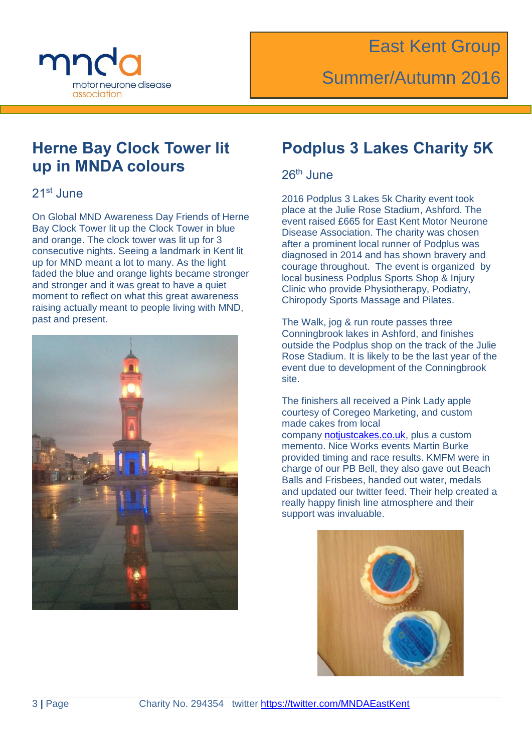

### **Herne Bay Clock Tower lit up in MNDA colours**

#### 21st June

On Global MND Awareness Day Friends of Herne Bay Clock Tower lit up the Clock Tower in blue and orange. The clock tower was lit up for 3 consecutive nights. Seeing a landmark in Kent lit up for MND meant a lot to many. As the light faded the blue and orange lights became stronger and stronger and it was great to have a quiet moment to reflect on what this great awareness raising actually meant to people living with MND, past and present.



#### **Podplus 3 Lakes Charity 5K**

#### 26th June

2016 Podplus 3 Lakes 5k Charity event took place at the Julie Rose Stadium, Ashford. The event raised £665 for East Kent Motor Neurone Disease Association. The charity was chosen after a prominent local runner of Podplus was diagnosed in 2014 and has shown bravery and courage throughout. The event is organized by local business Podplus Sports Shop & Injury Clinic who provide Physiotherapy, Podiatry, Chiropody Sports Massage and Pilates.

The Walk, jog & run route passes three Conningbrook lakes in Ashford, and finishes outside the Podplus shop on the track of the Julie Rose Stadium. It is likely to be the last year of the event due to development of the Conningbrook site.

The finishers all received a Pink Lady apple courtesy of Coregeo Marketing, and custom made cakes from local company [notjustcakes.co.uk,](http://notjustcakes.co.uk/) plus a custom memento. Nice Works events Martin Burke provided timing and race results. KMFM were in charge of our PB Bell, they also gave out Beach Balls and Frisbees, handed out water, medals and updated our twitter feed. Their help created a really happy finish line atmosphere and their support was invaluable.

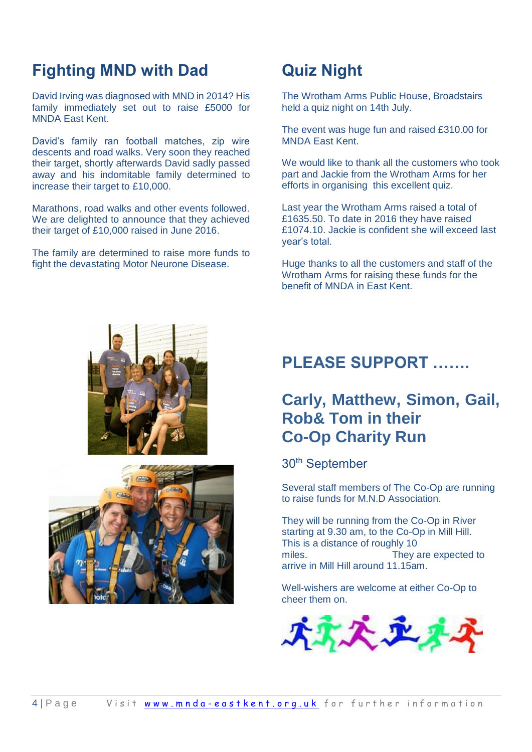### **Fighting MND with Dad**

David Irving was diagnosed with MND in 2014? His family immediately set out to raise £5000 for MNDA East Kent.

David's family ran football matches, zip wire descents and road walks. Very soon they reached their target, shortly afterwards David sadly passed away and his indomitable family determined to increase their target to £10,000.

Marathons, road walks and other events followed. We are delighted to announce that they achieved their target of £10,000 raised in June 2016.

The family are determined to raise more funds to fight the devastating Motor Neurone Disease.

### **Quiz Night**

The Wrotham Arms Public House, Broadstairs held a quiz night on 14th July.

The event was huge fun and raised £310.00 for MNDA East Kent.

We would like to thank all the customers who took part and Jackie from the Wrotham Arms for her efforts in organising this excellent quiz.

Last year the Wrotham Arms raised a total of £1635.50. To date in 2016 they have raised £1074.10. Jackie is confident she will exceed last year's total.

Huge thanks to all the customers and staff of the Wrotham Arms for raising these funds for the benefit of MNDA in East Kent.





#### **PLEASE SUPPORT …….**

#### **Carly, Matthew, Simon, Gail, Rob& Tom in their Co-Op Charity Run**

30th September

Several staff members of The Co-Op are running to raise funds for M.N.D Association.

They will be running from the Co-Op in River starting at 9.30 am, to the Co-Op in Mill Hill. This is a distance of roughly 10 miles. They are expected to arrive in Mill Hill around 11.15am.

Well-wishers are welcome at either Co-Op to cheer them on.

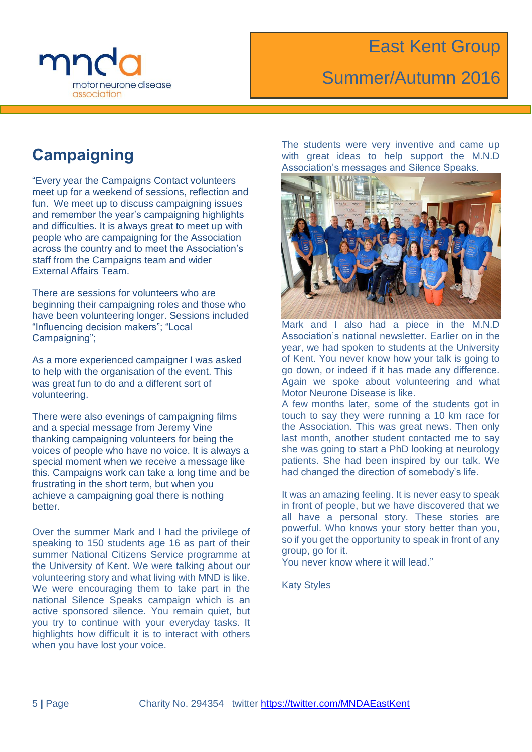

## Summer/Autumn 2016

#### **Campaigning**

"Every year the Campaigns Contact volunteers meet up for a weekend of sessions, reflection and fun. We meet up to discuss campaigning issues and remember the year's campaigning highlights and difficulties. It is always great to meet up with people who are campaigning for the Association across the country and to meet the Association's staff from the Campaigns team and wider External Affairs Team.

There are sessions for volunteers who are beginning their campaigning roles and those who have been volunteering longer. Sessions included "Influencing decision makers"; "Local Campaigning":

As a more experienced campaigner I was asked to help with the organisation of the event. This was great fun to do and a different sort of volunteering.

There were also evenings of campaigning films and a special message from Jeremy Vine thanking campaigning volunteers for being the voices of people who have no voice. It is always a special moment when we receive a message like this. Campaigns work can take a long time and be frustrating in the short term, but when you achieve a campaigning goal there is nothing better.

Over the summer Mark and I had the privilege of speaking to 150 students age 16 as part of their summer National Citizens Service programme at the University of Kent. We were talking about our volunteering story and what living with MND is like. We were encouraging them to take part in the national Silence Speaks campaign which is an active sponsored silence. You remain quiet, but you try to continue with your everyday tasks. It highlights how difficult it is to interact with others when you have lost your voice.

The students were very inventive and came up with great ideas to help support the M.N.D Association's messages and Silence Speaks.



Mark and I also had a piece in the M.N.D Association's national newsletter. Earlier on in the year, we had spoken to students at the University of Kent. You never know how your talk is going to go down, or indeed if it has made any difference. Again we spoke about volunteering and what Motor Neurone Disease is like.

A few months later, some of the students got in touch to say they were running a 10 km race for the Association. This was great news. Then only last month, another student contacted me to say she was going to start a PhD looking at neurology patients. She had been inspired by our talk. We had changed the direction of somebody's life.

It was an amazing feeling. It is never easy to speak in front of people, but we have discovered that we all have a personal story. These stories are powerful. Who knows your story better than you, so if you get the opportunity to speak in front of any group, go for it.

You never know where it will lead."

Katy Styles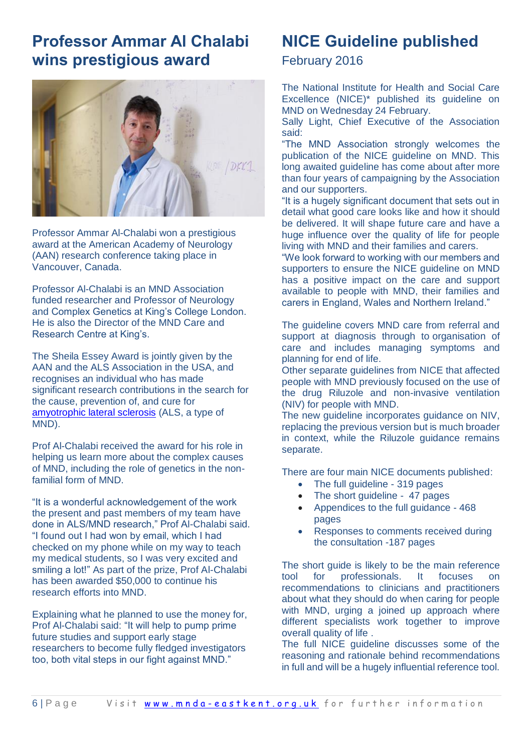#### **Professor Ammar Al Chalabi wins prestigious award**



Professor Ammar Al-Chalabi won a prestigious award at the American Academy of Neurology (AAN) research conference taking place in Vancouver, Canada.

Professor Al-Chalabi is an MND Association funded researcher and Professor of Neurology and Complex Genetics at King's College London. He is also the Director of the MND Care and Research Centre at King's.

The Sheila Essey Award is jointly given by the AAN and the ALS Association in the USA, and recognises an individual who has made significant research contributions in the search for the cause, prevention of, and cure for [amyotrophic lateral sclerosis](http://www.mndassociation.org/what-is-mnd/different-types-of-mnd/) (ALS, a type of MND).

Prof Al-Chalabi received the award for his role in helping us learn more about the complex causes of MND, including the role of genetics in the nonfamilial form of MND.

"It is a wonderful acknowledgement of the work the present and past members of my team have done in ALS/MND research," Prof Al-Chalabi said. "I found out I had won by email, which I had checked on my phone while on my way to teach my medical students, so I was very excited and smiling a lot!" As part of the prize, Prof Al-Chalabi has been awarded \$50,000 to continue his research efforts into MND.

Explaining what he planned to use the money for, Prof Al-Chalabi said: "It will help to pump prime future studies and support early stage researchers to become fully fledged investigators too, both vital steps in our fight against MND."

#### **NICE Guideline published**

February 2016

The National Institute for Health and Social Care Excellence (NICE)\* published its guideline on MND on Wednesday 24 February.

Sally Light, Chief Executive of the Association said:

"The MND Association strongly welcomes the publication of the NICE guideline on MND. This long awaited guideline has come about after more than four years of campaigning by the Association and our supporters.

"It is a hugely significant document that sets out in detail what good care looks like and how it should be delivered. It will shape future care and have a huge influence over the quality of life for people living with MND and their families and carers.

"We look forward to working with our members and supporters to ensure the NICE guideline on MND has a positive impact on the care and support available to people with MND, their families and carers in England, Wales and Northern Ireland."

The guideline covers MND care from referral and support at diagnosis through to organisation of care and includes managing symptoms and planning for end of life.

Other separate guidelines from NICE that affected people with MND previously focused on the use of the drug Riluzole and non-invasive ventilation (NIV) for people with MND.

The new guideline incorporates guidance on NIV, replacing the previous version but is much broader in context, while the Riluzole guidance remains separate.

There are four main NICE documents published:

- The full guideline 319 pages
- The short guideline 47 pages
- [Appendices to the full guidance](http://www.mndassociation.org/wp-content/uploads/NICE-guideline-on-MND-Appendices.pdf?1bcb49) 468 pages
- [Responses to comments received during](http://www.mndassociation.org/wp-content/uploads/NICE-guideline-on-MND-Responses-to-comments-recieved-during-consultation-010416.pdf?1bcb49)  [the consultation](http://www.mndassociation.org/wp-content/uploads/NICE-guideline-on-MND-Responses-to-comments-recieved-during-consultation-010416.pdf?1bcb49) -187 pages

The short guide is likely to be the main reference tool for professionals. It focuses on recommendations to clinicians and practitioners about what they should do when caring for people with MND, urging a joined up approach where different specialists work together to improve overall quality of life .

The full NICE guideline discusses some of the reasoning and rationale behind recommendations in full and will be a hugely influential reference tool.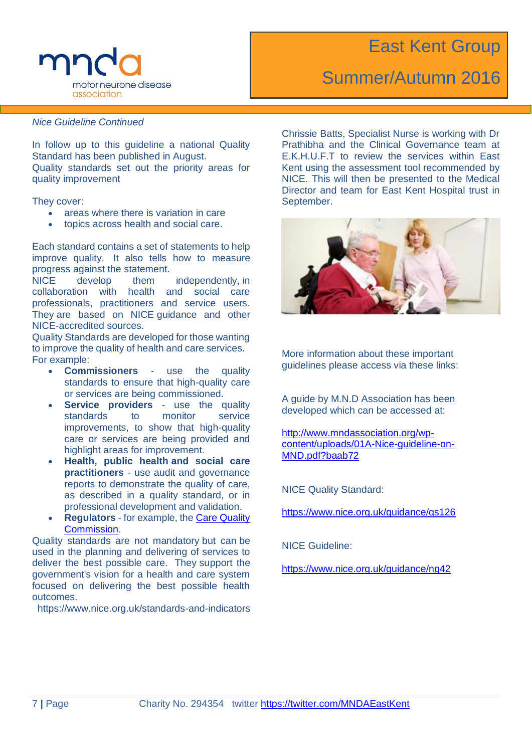

### Summer/Autumn 2016

*Nice Guideline Continued*

In follow up to this guideline a national Quality Standard has been published in August. Quality standards set out the priority areas for quality improvement

They cover:

- areas where there is variation in care
- topics across health and social care.

Each standard contains a set of statements to help improve quality. It also tells how to measure progress against the statement.

NICE develop them independently, in collaboration with health and social care professionals, practitioners and service users. They are based on NICE guidance and other NICE-accredited sources.

Quality Standards are developed for those wanting to improve the quality of health and care services. For example:

- **Commissioners** use the quality standards to ensure that high-quality care or services are being commissioned.
- **Service providers** use the quality standards to monitor service improvements, to show that high-quality care or services are being provided and highlight areas for improvement.
- **Health, public health and social care practitioners** - use audit and governance reports to demonstrate the quality of care, as described in a quality standard, or in professional development and validation.
- **Regulators** for example, the [Care Quality](http://www.cqc.org.uk/)  [Commission.](http://www.cqc.org.uk/)

Quality standards are not mandatory but can be used in the planning and delivering of services to deliver the best possible care. They support the government's vision for a health and care system focused on delivering the best possible health outcomes.

https://www.nice.org.uk/standards-and-indicators

Chrissie Batts, Specialist Nurse is working with Dr Prathibha and the Clinical Governance team at E.K.H.U.F.T to review the services within East Kent using the assessment tool recommended by NICE. This will then be presented to the Medical Director and team for East Kent Hospital trust in September.



More information about these important guidelines please access via these links:

A guide by M.N.D Association has been developed which can be accessed at:

[http://www.mndassociation.org/wp](http://www.mndassociation.org/wp-content/uploads/01A-Nice-guideline-on-MND.pdf?baab72)[content/uploads/01A-Nice-guideline-on-](http://www.mndassociation.org/wp-content/uploads/01A-Nice-guideline-on-MND.pdf?baab72)[MND.pdf?baab72](http://www.mndassociation.org/wp-content/uploads/01A-Nice-guideline-on-MND.pdf?baab72)

NICE Quality Standard:

<https://www.nice.org.uk/guidance/qs126>

NICE Guideline:

<https://www.nice.org.uk/guidance/ng42>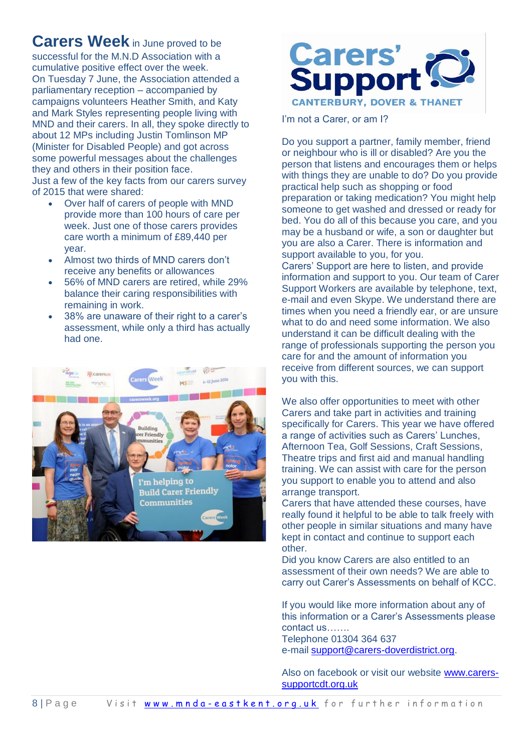#### **Carers Week** in June proved to be

successful for the M.N.D Association with a cumulative positive effect over the week. On Tuesday 7 June, the Association attended a parliamentary reception – accompanied by campaigns volunteers Heather Smith, and Katy and Mark Styles representing people living with MND and their carers. In all, they spoke directly to about 12 MPs including Justin Tomlinson MP (Minister for Disabled People) and got across some powerful messages about the challenges they and others in their position face. Just a few of the key facts from our carers survey of 2015 that were shared:

- Over half of carers of people with MND provide more than 100 hours of care per week. Just one of those carers provides care worth a minimum of £89,440 per year.
- Almost two thirds of MND carers don't receive any benefits or allowances
- 56% of MND carers are retired, while 29% balance their caring responsibilities with remaining in work.
- 38% are unaware of their right to a carer's assessment, while only a third has actually had one.





I'm not a Carer, or am I?

Do you support a partner, family member, friend or neighbour who is ill or disabled? Are you the person that listens and encourages them or helps with things they are unable to do? Do you provide practical help such as shopping or food preparation or taking medication? You might help someone to get washed and dressed or ready for bed. You do all of this because you care, and you may be a husband or wife, a son or daughter but you are also a Carer. There is information and support available to you, for you.

Carers' Support are here to listen, and provide information and support to you. Our team of Carer Support Workers are available by telephone, text, e-mail and even Skype. We understand there are times when you need a friendly ear, or are unsure what to do and need some information. We also understand it can be difficult dealing with the range of professionals supporting the person you care for and the amount of information you receive from different sources, we can support you with this.

We also offer opportunities to meet with other Carers and take part in activities and training specifically for Carers. This year we have offered a range of activities such as Carers' Lunches, Afternoon Tea, Golf Sessions, Craft Sessions, Theatre trips and first aid and manual handling training. We can assist with care for the person you support to enable you to attend and also arrange transport.

Carers that have attended these courses, have really found it helpful to be able to talk freely with other people in similar situations and many have kept in contact and continue to support each other.

Did you know Carers are also entitled to an assessment of their own needs? We are able to carry out Carer's Assessments on behalf of KCC.

If you would like more information about any of this information or a Carer's Assessments please contact us…….

Telephone 01304 364 637 e-mail [support@carers-doverdistrict.org.](mailto:support@carers-doverdistrict.org)

Also on facebook or visit our website [www.carers](http://www.carers-supportcdt.org.uk/)[supportcdt.org.uk](http://www.carers-supportcdt.org.uk/)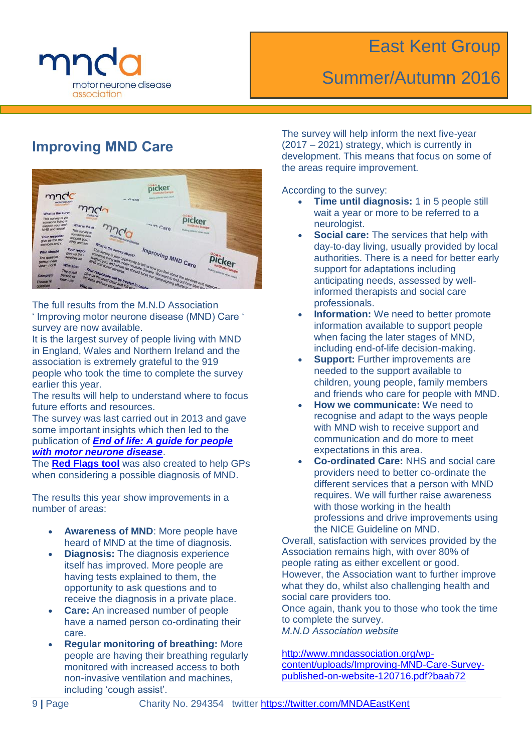

## Summer/Autumn 2016

#### **Improving MND Care**



The full results from the M.N.D Association ' Improving motor neurone disease (MND) Care ' survey are now available.

It is the largest survey of people living with MND in England, Wales and Northern Ireland and the association is extremely grateful to the 919 people who took the time to complete the survey earlier this year.

The results will help to understand where to focus future efforts and resources.

The survey was last carried out in 2013 and gave some important insights which then led to the publication of *[End of life: A guide for people](http://www.mndassociation.org/life-with-mnd/publications-pabmnd/end-of-life-guide/)  [with motor neurone disease](http://www.mndassociation.org/life-with-mnd/publications-pabmnd/end-of-life-guide/)*.

The **[Red Flags tool](http://www.mndassociation.org/forprofessionals/information-for-gps/diagnosis-of-mnd/red-flag-diagnosis-tool/)** was also created to help GPs when considering a possible diagnosis of MND.

The results this year show improvements in a number of areas:

- **Awareness of MND**: More people have heard of MND at the time of diagnosis.
- **Diagnosis:** The diagnosis experience itself has improved. More people are having tests explained to them, the opportunity to ask questions and to receive the diagnosis in a private place.
- **Care:** An increased number of people have a named person co-ordinating their care.
- **Regular monitoring of breathing:** More people are having their breathing regularly monitored with increased access to both non-invasive ventilation and machines, including 'cough assist'.

The survey will help inform the next five-year (2017 – 2021) strategy, which is currently in development. This means that focus on some of the areas require improvement.

According to the survey:

- **Time until diagnosis:** 1 in 5 people still wait a year or more to be referred to a neurologist.
- **Social care:** The services that help with day-to-day living, usually provided by local authorities. There is a need for better early support for adaptations including anticipating needs, assessed by wellinformed therapists and social care professionals.
- **Information:** We need to better promote information available to support people when facing the later stages of MND, including end-of-life decision-making.
- **Support: Further improvements are** needed to the support available to children, young people, family members and friends who care for people with MND.
- **How we communicate:** We need to recognise and adapt to the ways people with MND wish to receive support and communication and do more to meet expectations in this area.
- **Co-ordinated Care:** NHS and social care providers need to better co-ordinate the different services that a person with MND requires. We will further raise awareness with those working in the health professions and drive improvements using the NICE Guideline on MND.

Overall, satisfaction with services provided by the Association remains high, with over 80% of people rating as either excellent or good. However, the Association want to further improve what they do, whilst also challenging health and social care providers too.

Once again, thank you to those who took the time to complete the survey.

*M.N.D Association website*

[http://www.mndassociation.org/wp](http://www.mndassociation.org/wp-content/uploads/Improving-MND-Care-Survey-published-on-website-120716.pdf?baab72)[content/uploads/Improving-MND-Care-Survey](http://www.mndassociation.org/wp-content/uploads/Improving-MND-Care-Survey-published-on-website-120716.pdf?baab72)[published-on-website-120716.pdf?baab72](http://www.mndassociation.org/wp-content/uploads/Improving-MND-Care-Survey-published-on-website-120716.pdf?baab72)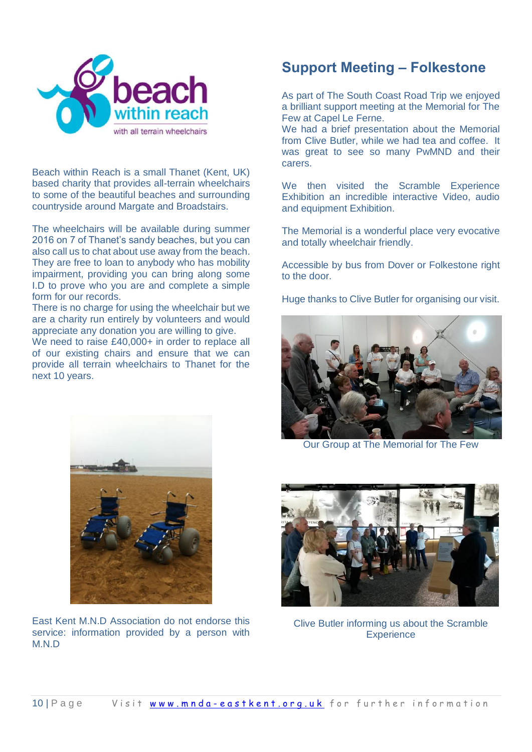

Beach within Reach is a small Thanet (Kent, UK) based charity that provides all-terrain wheelchairs to some of the beautiful beaches and surrounding countryside around Margate and Broadstairs.

The wheelchairs will be available during summer 2016 on 7 of Thanet's sandy beaches, but you can also call us to chat about use away from the beach. They are free to loan to anybody who has mobility impairment, providing you can bring along some I.D to prove who you are and complete a simple form for our records.

There is no charge for using the wheelchair but we are a charity run entirely by volunteers and would appreciate any donation you are willing to give.

We need to raise £40,000+ in order to replace all of our existing chairs and ensure that we can provide all terrain wheelchairs to Thanet for the next 10 years.



As part of The South Coast Road Trip we enjoyed a brilliant support meeting at the Memorial for The Few at Capel Le Ferne.

We had a brief presentation about the Memorial from Clive Butler, while we had tea and coffee. It was great to see so many PwMND and their carers.

We then visited the Scramble Experience Exhibition an incredible interactive Video, audio and equipment Exhibition.

The Memorial is a wonderful place very evocative and totally wheelchair friendly.

Accessible by bus from Dover or Folkestone right to the door.

Huge thanks to Clive Butler for organising our visit.



Our Group at The Memorial for The Few



Clive Butler informing us about the Scramble **Experience** 



East Kent M.N.D Association do not endorse this service: information provided by a person with M.N.D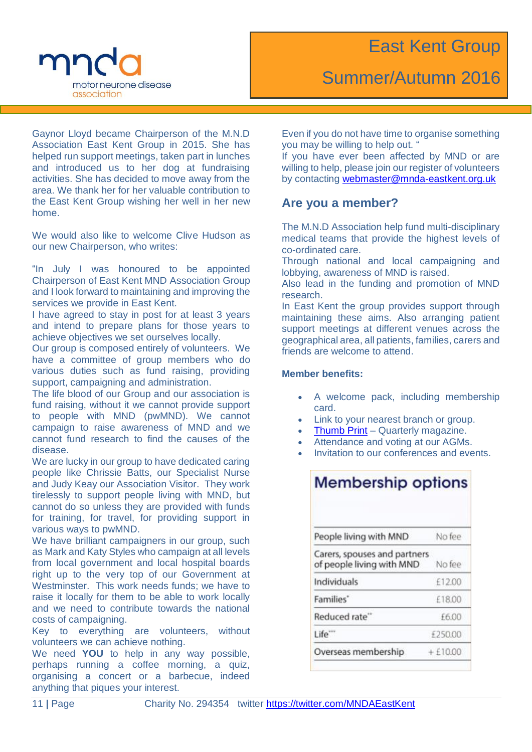

Gaynor Lloyd became Chairperson of the M.N.D Association East Kent Group in 2015. She has helped run support meetings, taken part in lunches and introduced us to her dog at fundraising activities. She has decided to move away from the area. We thank her for her valuable contribution to the East Kent Group wishing her well in her new home.

We would also like to welcome Clive Hudson as our new Chairperson, who writes:

"In July I was honoured to be appointed Chairperson of East Kent MND Association Group and I look forward to maintaining and improving the services we provide in East Kent.

I have agreed to stay in post for at least 3 years and intend to prepare plans for those years to achieve objectives we set ourselves locally.

Our group is composed entirely of volunteers. We have a committee of group members who do various duties such as fund raising, providing support, campaigning and administration.

The life blood of our Group and our association is fund raising, without it we cannot provide support to people with MND (pwMND). We cannot campaign to raise awareness of MND and we cannot fund research to find the causes of the disease.

We are lucky in our group to have dedicated caring people like Chrissie Batts, our Specialist Nurse and Judy Keay our Association Visitor. They work tirelessly to support people living with MND, but cannot do so unless they are provided with funds for training, for travel, for providing support in various ways to pwMND.

We have brilliant campaigners in our group, such as Mark and Katy Styles who campaign at all levels from local government and local hospital boards right up to the very top of our Government at Westminster. This work needs funds; we have to raise it locally for them to be able to work locally and we need to contribute towards the national costs of campaigning.

Key to everything are volunteers, without volunteers we can achieve nothing.

We need **YOU** to help in any way possible, perhaps running a coffee morning, a quiz, organising a concert or a barbecue, indeed anything that piques your interest.

Even if you do not have time to organise something you may be willing to help out. "

If you have ever been affected by MND or are willing to help, please join our register of volunteers by contacting [webmaster@mnda-eastkent.org.uk](mailto:webmaster@mnda-eastkent.org.uk)

#### **Are you a member?**

The M.N.D Association help fund multi-disciplinary medical teams that provide the highest levels of co-ordinated care.

Through national and local campaigning and lobbying, awareness of MND is raised.

Also lead in the funding and promotion of MND research.

In East Kent the group provides support through maintaining these aims. Also arranging patient support meetings at different venues across the geographical area, all patients, families, carers and friends are welcome to attend.

#### **Member benefits:**

- A welcome pack, including membership card.
- Link to your nearest branch or group.
- [Thumb Print](http://www.mndassociation.org/news-and-events/thumbprint/) Quarterly magazine.
- Attendance and voting at our AGMs.
- Invitation to our conferences and events.

| <b>Membership options</b>                                 |            |  |
|-----------------------------------------------------------|------------|--|
| People living with MND                                    | No fee     |  |
| Carers, spouses and partners<br>of people living with MND | No fee     |  |
| Individuals                                               | £12.00     |  |
| Families'                                                 | £18.00     |  |
| Reduced rate"                                             | £6.00      |  |
| Life <sup>-</sup>                                         | £250.00    |  |
| Overseas membership                                       | $+ f10.00$ |  |